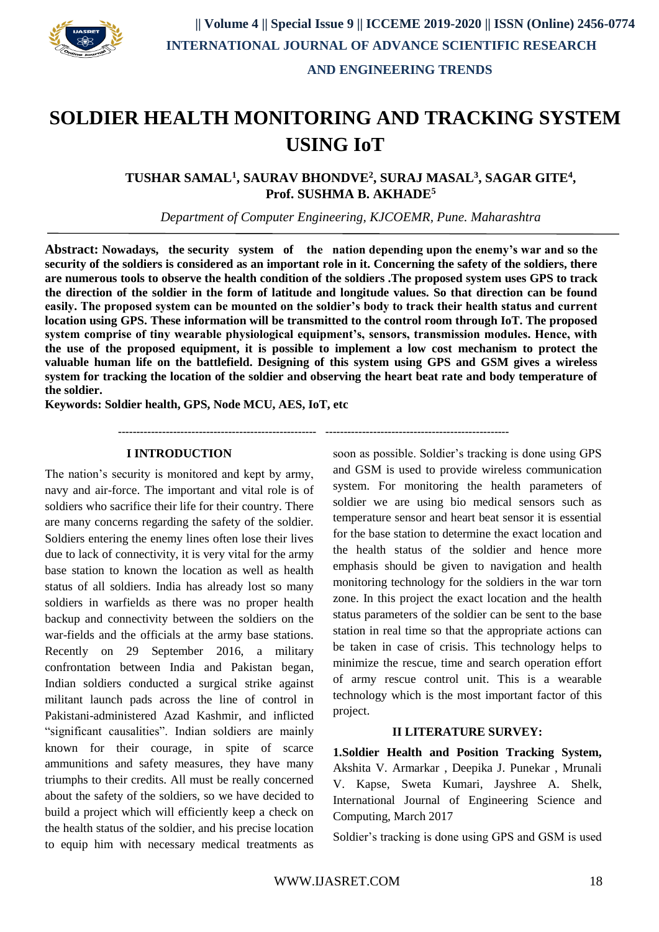

# **SOLDIER HEALTH MONITORING AND TRACKING SYSTEM USING IoT**

**TUSHAR SAMAL<sup>1</sup> , SAURAV BHONDVE<sup>2</sup> , SURAJ MASAL<sup>3</sup> , SAGAR GITE<sup>4</sup> , Prof. SUSHMA B. AKHADE<sup>5</sup>**

*Department of Computer Engineering, KJCOEMR, Pune. Maharashtra*

**Abstract: Nowadays, the security system of the nation depending upon the enemy's war and so the security of the soldiers is considered as an important role in it. Concerning the safety of the soldiers, there are numerous tools to observe the health condition of the soldiers .The proposed system uses GPS to track the direction of the soldier in the form of latitude and longitude values. So that direction can be found easily. The proposed system can be mounted on the soldier's body to track their health status and current location using GPS. These information will be transmitted to the control room through IoT. The proposed system comprise of tiny wearable physiological equipment's, sensors, transmission modules. Hence, with the use of the proposed equipment, it is possible to implement a low cost mechanism to protect the valuable human life on the battlefield. Designing of this system using GPS and GSM gives a wireless system for tracking the location of the soldier and observing the heart beat rate and body temperature of the soldier.**

**Keywords: Soldier health, GPS, Node MCU, AES, IoT, etc**

**------------------------------------------------------ --------------------------------------------------**

#### **I INTRODUCTION**

The nation's security is monitored and kept by army, navy and air-force. The important and vital role is of soldiers who sacrifice their life for their country. There are many concerns regarding the safety of the soldier. Soldiers entering the enemy lines often lose their lives due to lack of connectivity, it is very vital for the army base station to known the location as well as health status of all soldiers. India has already lost so many soldiers in warfields as there was no proper health backup and connectivity between the soldiers on the war-fields and the officials at the army base stations. Recently on 29 September 2016, a military confrontation between India and Pakistan began, Indian soldiers conducted a surgical strike against militant launch pads across the line of control in Pakistani-administered Azad Kashmir, and inflicted "significant causalities". Indian soldiers are mainly known for their courage, in spite of scarce ammunitions and safety measures, they have many triumphs to their credits. All must be really concerned about the safety of the soldiers, so we have decided to build a project which will efficiently keep a check on the health status of the soldier, and his precise location to equip him with necessary medical treatments as soon as possible. Soldier's tracking is done using GPS and GSM is used to provide wireless communication system. For monitoring the health parameters of soldier we are using bio medical sensors such as temperature sensor and heart beat sensor it is essential for the base station to determine the exact location and the health status of the soldier and hence more emphasis should be given to navigation and health monitoring technology for the soldiers in the war torn zone. In this project the exact location and the health status parameters of the soldier can be sent to the base station in real time so that the appropriate actions can be taken in case of crisis. This technology helps to minimize the rescue, time and search operation effort of army rescue control unit. This is a wearable technology which is the most important factor of this project.

#### **II LITERATURE SURVEY:**

**1.Soldier Health and Position Tracking System,**  Akshita V. Armarkar , Deepika J. Punekar , Mrunali V. Kapse, Sweta Kumari, Jayshree A. Shelk, International Journal of Engineering Science and Computing, March 2017

Soldier's tracking is done using GPS and GSM is used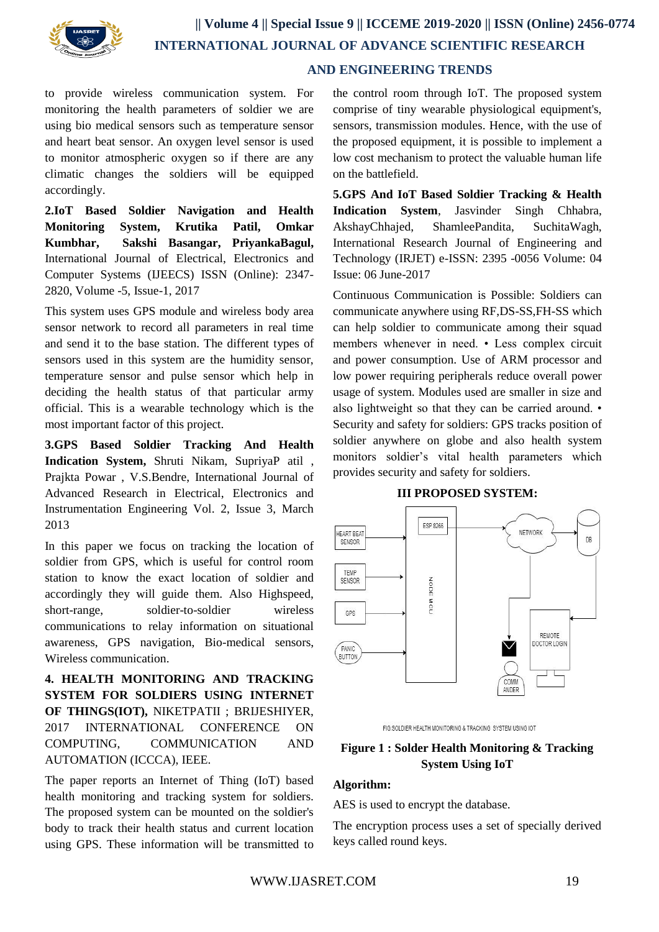

# **AND ENGINEERING TRENDS**

to provide wireless communication system. For monitoring the health parameters of soldier we are using bio medical sensors such as temperature sensor and heart beat sensor. An oxygen level sensor is used to monitor atmospheric oxygen so if there are any climatic changes the soldiers will be equipped accordingly.

**2.IoT Based Soldier Navigation and Health Monitoring System, Krutika Patil, Omkar Kumbhar, Sakshi Basangar, PriyankaBagul,**  International Journal of Electrical, Electronics and Computer Systems (IJEECS) ISSN (Online): 2347- 2820, Volume -5, Issue-1, 2017

This system uses GPS module and wireless body area sensor network to record all parameters in real time and send it to the base station. The different types of sensors used in this system are the humidity sensor, temperature sensor and pulse sensor which help in deciding the health status of that particular army official. This is a wearable technology which is the most important factor of this project.

**3.GPS Based Soldier Tracking And Health Indication System,** Shruti Nikam, SupriyaP atil , Prajkta Powar , V.S.Bendre, International Journal of Advanced Research in Electrical, Electronics and Instrumentation Engineering Vol. 2, Issue 3, March 2013

In this paper we focus on tracking the location of soldier from GPS, which is useful for control room station to know the exact location of soldier and accordingly they will guide them. Also Highspeed, short-range, soldier-to-soldier wireless communications to relay information on situational awareness, GPS navigation, Bio-medical sensors, Wireless communication.

**4. HEALTH MONITORING AND TRACKING SYSTEM FOR SOLDIERS USING INTERNET OF THINGS(IOT),** NIKETPATII ; BRIJESHIYER, 2017 INTERNATIONAL CONFERENCE ON COMPUTING, COMMUNICATION AND AUTOMATION (ICCCA), IEEE.

The paper reports an Internet of Thing (IoT) based health monitoring and tracking system for soldiers. The proposed system can be mounted on the soldier's body to track their health status and current location using GPS. These information will be transmitted to

the control room through IoT. The proposed system comprise of tiny wearable physiological equipment's, sensors, transmission modules. Hence, with the use of the proposed equipment, it is possible to implement a low cost mechanism to protect the valuable human life on the battlefield.

**5.GPS And IoT Based Soldier Tracking & Health Indication System**, Jasvinder Singh Chhabra, AkshayChhajed, ShamleePandita, SuchitaWagh, International Research Journal of Engineering and Technology (IRJET) e-ISSN: 2395 -0056 Volume: 04 Issue: 06 June-2017

Continuous Communication is Possible: Soldiers can communicate anywhere using RF,DS-SS,FH-SS which can help soldier to communicate among their squad members whenever in need. • Less complex circuit and power consumption. Use of ARM processor and low power requiring peripherals reduce overall power usage of system. Modules used are smaller in size and also lightweight so that they can be carried around. • Security and safety for soldiers: GPS tracks position of soldier anywhere on globe and also health system monitors soldier's vital health parameters which provides security and safety for soldiers.

#### **III PROPOSED SYSTEM:**



FIG:SOLDIER HEALTH MONITORING & TRACKING SYSTEM USING IOT

# **Figure 1 : Solder Health Monitoring & Tracking System Using IoT**

#### **Algorithm:**

AES is used to encrypt the database.

The encryption process uses a set of specially derived keys called round keys.